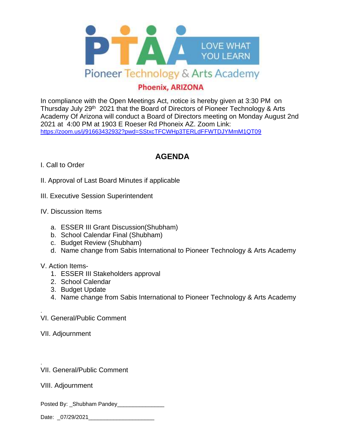

## **Phoenix, ARIZONA**

In compliance with the Open Meetings Act, notice is hereby given at 3:30 PM on Thursday July 29<sup>th</sup> 2021 that the Board of Directors of Pioneer Technology & Arts Academy Of Arizona will conduct a Board of Directors meeting on Monday August 2nd 2021 at 4:00 PM at 1903 E Roeser Rd Phoneix AZ. Zoom Link: <https://zoom.us/j/91663432932?pwd=SStxcTFCWHp3TERLdFFWTDJYMmM1QT09>

## **AGENDA**

## I. Call to Order

- II. Approval of Last Board Minutes if applicable
- III. Executive Session Superintendent
- IV. Discussion Items
	- a. ESSER III Grant Discussion(Shubham)
	- b. School Calendar Final (Shubham)
	- c. Budget Review (Shubham)
	- d. Name change from Sabis International to Pioneer Technology & Arts Academy

## V. Action Items-

- 1. ESSER III Stakeholders approval
- 2. School Calendar
- 3. Budget Update
- 4. Name change from Sabis International to Pioneer Technology & Arts Academy
- VI. General/Public Comment
- VII. Adjournment

.

. VII. General/Public Comment

VIII. Adjournment

Posted By: Shubham Pandey

Date: \_07/29/2021\_\_\_\_\_\_\_\_\_\_\_\_\_\_\_\_\_\_\_\_\_